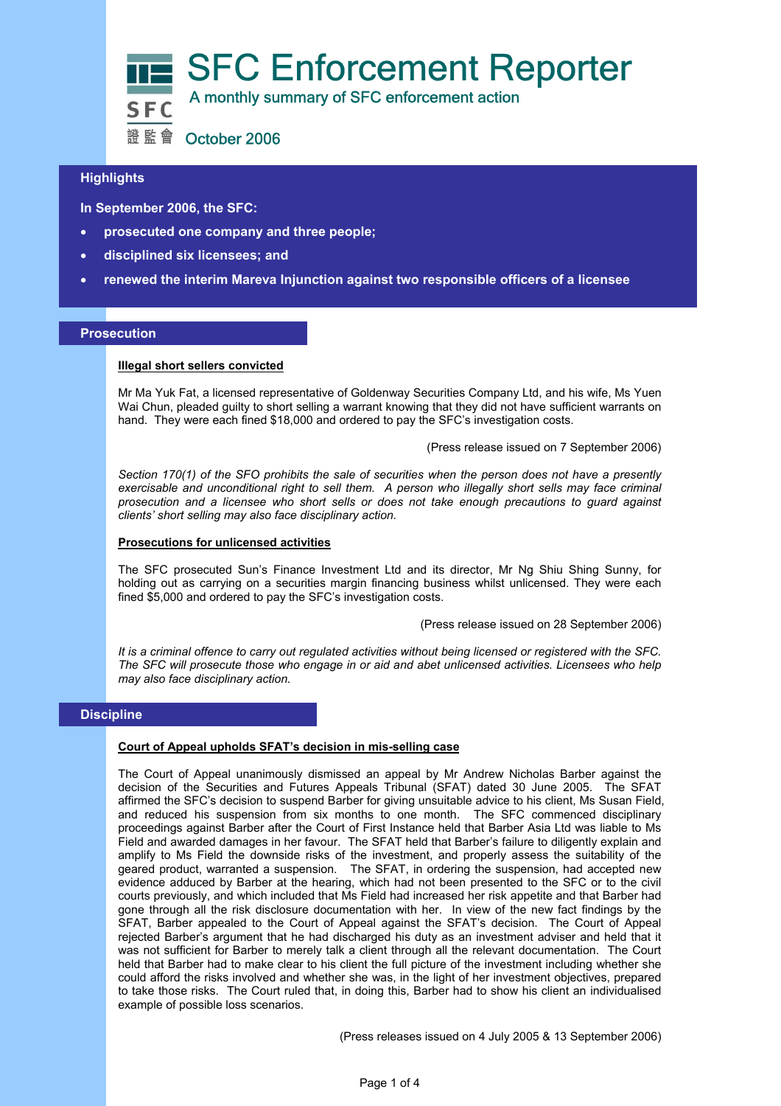

證監會 October 2006

# **Highlights**

**In September 2006, the SFC:** 

- j • **prosecuted one company and three people;**
- **disciplined six licensees; and**
- **renewed the interim Mareva Injunction against two responsible officers of a licensee**

## **Prosecution**

## **Illegal short sellers convicted**

Mr Ma Yuk Fat, a licensed representative of Goldenway Securities Company Ltd, and his wife, Ms Yuen Wai Chun, pleaded guilty to short selling a warrant knowing that they did not have sufficient warrants on hand. They were each fined \$18,000 and ordered to pay the SFC's investigation costs.

(Press release issued on 7 September 2006)

*Section 170(1) of the SFO prohibits the sale of securities when the person does not have a presently exercisable and unconditional right to sell them. A person who illegally short sells may face criminal prosecution and a licensee who short sells or does not take enough precautions to guard against clients' short selling may also face disciplinary action.* 

### **Prosecutions for unlicensed activities**

The SFC prosecuted Sun's Finance Investment Ltd and its director, Mr Ng Shiu Shing Sunny, for holding out as carrying on a securities margin financing business whilst unlicensed. They were each fined \$5,000 and ordered to pay the SFC's investigation costs.

(Press release issued on 28 September 2006)

*It is a criminal offence to carry out regulated activities without being licensed or registered with the SFC. The SFC will prosecute those who engage in or aid and abet unlicensed activities. Licensees who help may also face disciplinary action.* 

## **Discipline**

### **Court of Appeal upholds SFAT's decision in mis-selling case**

The Court of Appeal unanimously dismissed an appeal by Mr Andrew Nicholas Barber against the decision of the Securities and Futures Appeals Tribunal (SFAT) dated 30 June 2005. The SFAT affirmed the SFC's decision to suspend Barber for giving unsuitable advice to his client, Ms Susan Field, and reduced his suspension from six months to one month. The SFC commenced disciplinary proceedings against Barber after the Court of First Instance held that Barber Asia Ltd was liable to Ms Field and awarded damages in her favour. The SFAT held that Barber's failure to diligently explain and amplify to Ms Field the downside risks of the investment, and properly assess the suitability of the geared product, warranted a suspension. The SFAT, in ordering the suspension, had accepted new evidence adduced by Barber at the hearing, which had not been presented to the SFC or to the civil courts previously, and which included that Ms Field had increased her risk appetite and that Barber had gone through all the risk disclosure documentation with her. In view of the new fact findings by the SFAT, Barber appealed to the Court of Appeal against the SFAT's decision. The Court of Appeal rejected Barber's argument that he had discharged his duty as an investment adviser and held that it was not sufficient for Barber to merely talk a client through all the relevant documentation. The Court held that Barber had to make clear to his client the full picture of the investment including whether she could afford the risks involved and whether she was, in the light of her investment objectives, prepared to take those risks. The Court ruled that, in doing this, Barber had to show his client an individualised example of possible loss scenarios. (Press releases issued on 4 July 2005 & 13 September 2006)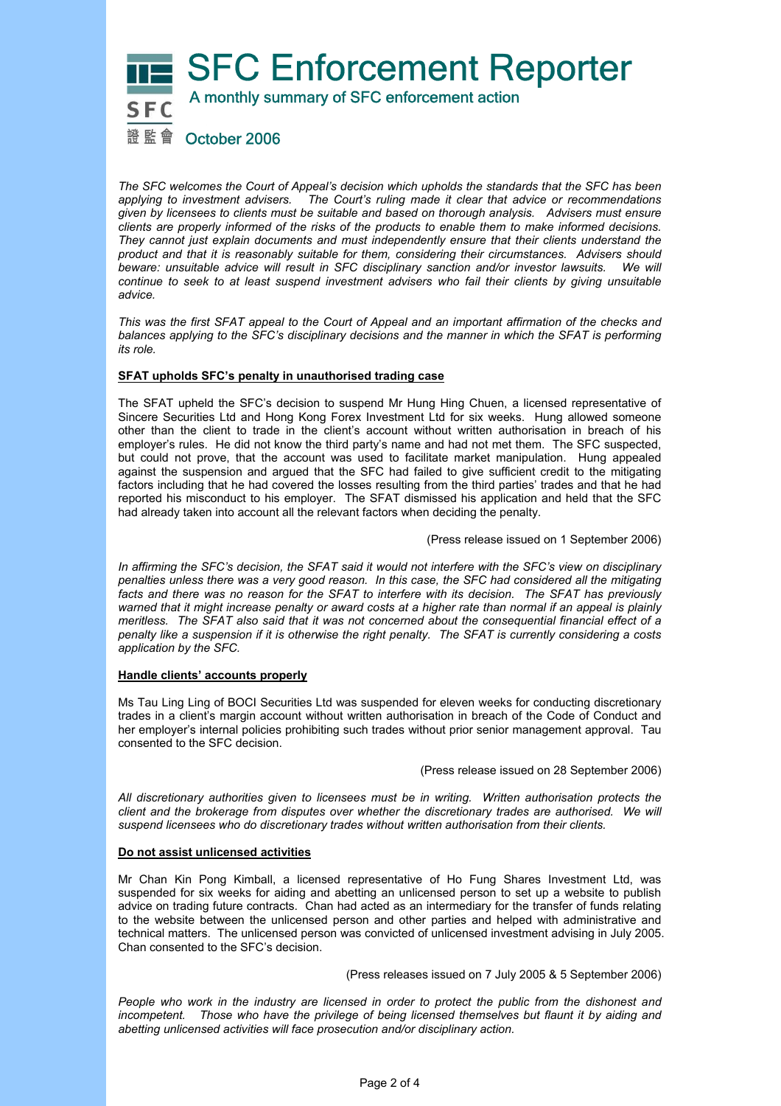

*The SFC welcomes the Court of Appeal's decision which upholds the standards that the SFC has been applying to investment advisers. The Court's ruling made it clear that advice or recommendations given by licensees to clients must be suitable and based on thorough analysis. Advisers must ensure clients are properly informed of the risks of the products to enable them to make informed decisions. They cannot just explain documents and must independently ensure that their clients understand the product and that it is reasonably suitable for them, considering their circumstances. Advisers should beware: unsuitable advice will result in SFC disciplinary sanction and/or investor lawsuits. We will continue to seek to at least suspend investment advisers who fail their clients by giving unsuitable advice.* 

*This was the first SFAT appeal to the Court of Appeal and an important affirmation of the checks and balances applying to the SFC's disciplinary decisions and the manner in which the SFAT is performing its role.*

## **SFAT upholds SFC's penalty in unauthorised trading case**

The SFAT upheld the SFC's decision to suspend Mr Hung Hing Chuen, a licensed representative of Sincere Securities Ltd and Hong Kong Forex Investment Ltd for six weeks. Hung allowed someone other than the client to trade in the client's account without written authorisation in breach of his employer's rules. He did not know the third party's name and had not met them. The SFC suspected, but could not prove, that the account was used to facilitate market manipulation. Hung appealed against the suspension and argued that the SFC had failed to give sufficient credit to the mitigating factors including that he had covered the losses resulting from the third parties' trades and that he had reported his misconduct to his employer. The SFAT dismissed his application and held that the SFC had already taken into account all the relevant factors when deciding the penalty.

(Press release issued on 1 September 2006)

*In affirming the SFC's decision, the SFAT said it would not interfere with the SFC's view on disciplinary penalties unless there was a very good reason. In this case, the SFC had considered all the mitigating facts and there was no reason for the SFAT to interfere with its decision. The SFAT has previously*  warned that it might increase penalty or award costs at a higher rate than normal if an appeal is plainly *meritless. The SFAT also said that it was not concerned about the consequential financial effect of a penalty like a suspension if it is otherwise the right penalty. The SFAT is currently considering a costs application by the SFC.* 

### **Handle clients' accounts properly**

Ms Tau Ling Ling of BOCI Securities Ltd was suspended for eleven weeks for conducting discretionary trades in a client's margin account without written authorisation in breach of the Code of Conduct and her employer's internal policies prohibiting such trades without prior senior management approval. Tau consented to the SFC decision.

(Press release issued on 28 September 2006)

*All discretionary authorities given to licensees must be in writing. Written authorisation protects the client and the brokerage from disputes over whether the discretionary trades are authorised. We will suspend licensees who do discretionary trades without written authorisation from their clients.* 

### **Do not assist unlicensed activities**

Mr Chan Kin Pong Kimball, a licensed representative of Ho Fung Shares Investment Ltd, was suspended for six weeks for aiding and abetting an unlicensed person to set up a website to publish advice on trading future contracts. Chan had acted as an intermediary for the transfer of funds relating to the website between the unlicensed person and other parties and helped with administrative and technical matters. The unlicensed person was convicted of unlicensed investment advising in July 2005. Chan consented to the SFC's decision.

(Press releases issued on 7 July 2005 & 5 September 2006)

People who work in the industry are licensed in order to protect the public from the dishonest and incompetent. Those who have the privilege of being licensed themselves but flaunt it by aiding and *abetting unlicensed activities will face prosecution and/or disciplinary action.*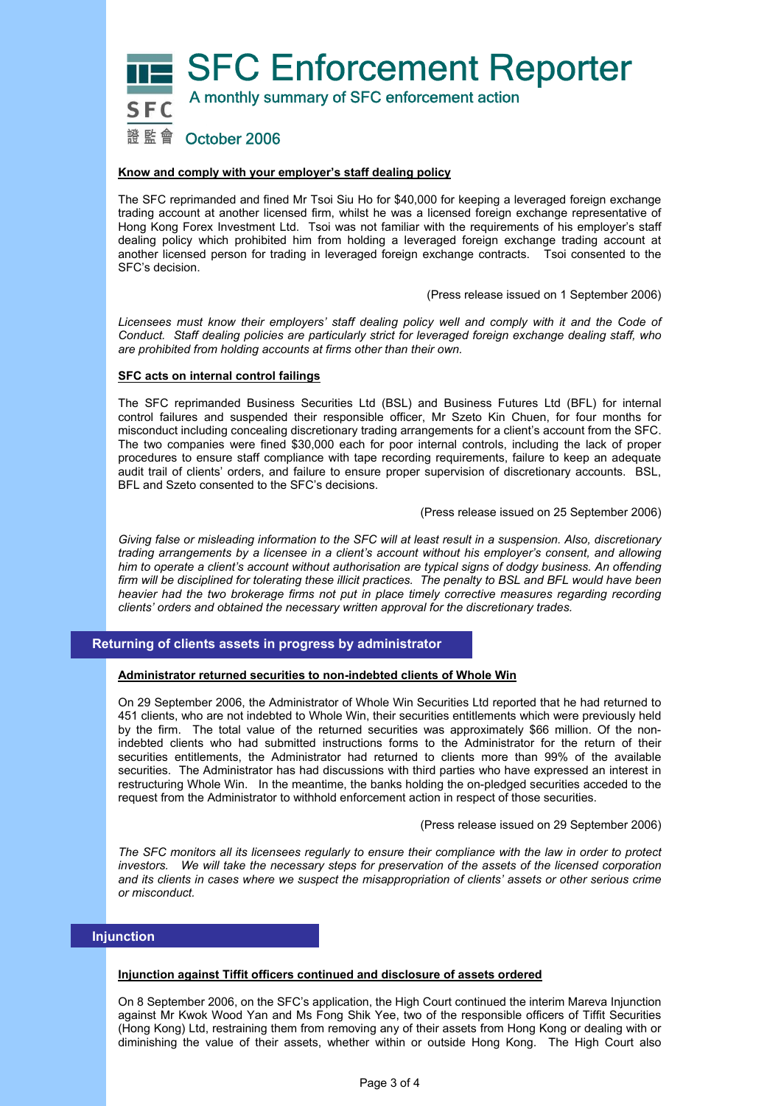**SFC Enforcement Reporter** 



A monthly summary of SFC enforcement action

# 證 監 會 (October 2006

## **Know and comply with your employer's staff dealing policy**

The SFC reprimanded and fined Mr Tsoi Siu Ho for \$40,000 for keeping a leveraged foreign exchange trading account at another licensed firm, whilst he was a licensed foreign exchange representative of Hong Kong Forex Investment Ltd. Tsoi was not familiar with the requirements of his employer's staff dealing policy which prohibited him from holding a leveraged foreign exchange trading account at another licensed person for trading in leveraged foreign exchange contracts. Tsoi consented to the SFC's decision.

(Press release issued on 1 September 2006)

Licensees must know their employers' staff dealing policy well and comply with it and the Code of *Conduct. Staff dealing policies are particularly strict for leveraged foreign exchange dealing staff, who are prohibited from holding accounts at firms other than their own.* 

## **SFC acts on internal control failings**

The SFC reprimanded Business Securities Ltd (BSL) and Business Futures Ltd (BFL) for internal control failures and suspended their responsible officer, Mr Szeto Kin Chuen, for four months for misconduct including concealing discretionary trading arrangements for a client's account from the SFC. The two companies were fined \$30,000 each for poor internal controls, including the lack of proper procedures to ensure staff compliance with tape recording requirements, failure to keep an adequate audit trail of clients' orders, and failure to ensure proper supervision of discretionary accounts. BSL, BFL and Szeto consented to the SFC's decisions.

### (Press release issued on 25 September 2006)

*Giving false or misleading information to the SFC will at least result in a suspension. Also, discretionary trading arrangements by a licensee in a client's account without his employer's consent, and allowing him to operate a client's account without authorisation are typical signs of dodgy business. An offending firm will be disciplined for tolerating these illicit practices. The penalty to BSL and BFL would have been heavier had the two brokerage firms not put in place timely corrective measures regarding recording clients' orders and obtained the necessary written approval for the discretionary trades.* 

## **Returning of clients assets in progress by administrator**

### **Administrator returned securities to non-indebted clients of Whole Win**

On 29 September 2006, the Administrator of Whole Win Securities Ltd reported that he had returned to 451 clients, who are not indebted to Whole Win, their securities entitlements which were previously held by the firm. The total value of the returned securities was approximately \$66 million. Of the nonindebted clients who had submitted instructions forms to the Administrator for the return of their securities entitlements, the Administrator had returned to clients more than 99% of the available securities. The Administrator has had discussions with third parties who have expressed an interest in restructuring Whole Win. In the meantime, the banks holding the on-pledged securities acceded to the request from the Administrator to withhold enforcement action in respect of those securities.

### (Press release issued on 29 September 2006)

*The SFC monitors all its licensees regularly to ensure their compliance with the law in order to protect investors. We will take the necessary steps for preservation of the assets of the licensed corporation and its clients in cases where we suspect the misappropriation of clients' assets or other serious crime or misconduct.* 

## **Injunction**

### **Injunction against Tiffit officers continued and disclosure of assets ordered**

On 8 September 2006, on the SFC's application, the High Court continued the interim Mareva Injunction against Mr Kwok Wood Yan and Ms Fong Shik Yee, two of the responsible officers of Tiffit Securities (Hong Kong) Ltd, restraining them from removing any of their assets from Hong Kong or dealing with or diminishing the value of their assets, whether within or outside Hong Kong. The High Court also